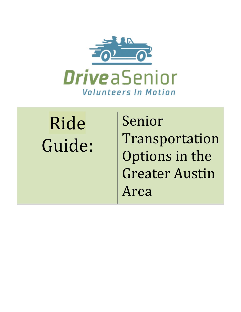

# Ride% Guide:

Senior Transportation% Options in the **Greater Austin** Area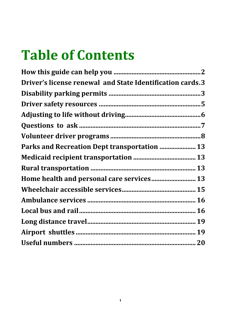## **Table of Contents**

| Driver's license renewal and State Identification cards.3 |  |
|-----------------------------------------------------------|--|
|                                                           |  |
|                                                           |  |
|                                                           |  |
|                                                           |  |
|                                                           |  |
| Parks and Recreation Dept transportation  13              |  |
|                                                           |  |
|                                                           |  |
| Home health and personal care services 13                 |  |
|                                                           |  |
|                                                           |  |
|                                                           |  |
|                                                           |  |
|                                                           |  |
|                                                           |  |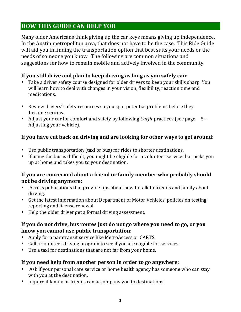#### **HOW THIS GUIDE CAN HELP YOU**

Many older Americans think giving up the car keys means giving up independence. In the Austin metropolitan area, that does not have to be the case. This Ride Guide will aid you in finding the transportation option that best suits your needs or the needs of someone you know. The following are common situations and suggestions for how to remain mobile and actively involved in the community.

#### If you still drive and plan to keep driving as long as you safely can:

- Take a driver safety course designed for older drivers to keep your skills sharp. You will learn how to deal with changes in your vision, flexibility, reaction time and medications.
- Review drivers' safety resources so you spot potential problems before they become serious.
- Adjust your car for comfort and safety by following *Carfit* practices (see page 5--Adjusting your vehicle).

#### If you have cut back on driving and are looking for other ways to get around:

- Use public transportation (taxi or bus) for rides to shorter destinations.
- If using the bus is difficult, you might be eligible for a volunteer service that picks you up at home and takes you to your destination.

#### If you are concerned about a friend or family member who probably should **not be driving anymore:**

- Access publications that provide tips about how to talk to friends and family about driving.
- Get the latest information about Department of Motor Vehicles' policies on testing, reporting and license renewal.
- Help the older driver get a formal driving assessment.

#### If you do not drive, bus routes just do not go where you need to go, or you know you cannot use public transportation:

- Apply for a paratransit service like MetroAccess or CARTS.
- Call a volunteer driving program to see if you are eligible for services.
- Use a taxi for destinations that are not far from your home.

#### If you need help from another person in order to go anywhere:

- Ask if your personal care service or home health agency has someone who can stay with you at the destination.
- Inquire if family or friends can accompany you to destinations.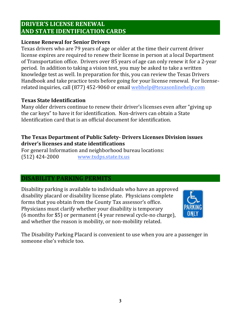#### **DRIVER'S LICENSE RENEWAL AND STATE IDENTIFICATION CARDS**

#### **License Renewal for Senior Drivers**

Texas drivers who are 79 years of age or older at the time their current driver license expires are required to renew their license in person at a local Department of Transportation office. Drivers over 85 years of age can only renew it for a 2-year period. In addition to taking a vision test, you may be asked to take a written knowledge test as well. In preparation for this, you can review the Texas Drivers Handbook and take practice tests before going for your license renewal. For licenserelated inquiries, call (877) 452-9060 or email webhelp@texasonlinehelp.com

#### **Texas!State!Identification**

Many older drivers continue to renew their driver's licenses even after "giving up" the car keys" to have it for identification. Non-drivers can obtain a State Identification card that is an official document for identification.

#### **The Texas Department of Public Safety- Drivers Licenses Division issues** driver's licenses and state identifications

For general Information and neighborhood bureau locations:  $(512)$  424-2000 www.txdps.state.tx.us

#### **DISABILITY!PARKING!PERMITS**

Disability parking is available to individuals who have an approved disability placard or disability license plate. Physicians complete forms that you obtain from the County Tax assessor's office. Physicians must clarify whether your disability is temporary (6 months for \$5) or permanent (4 year renewal cycle-no charge), and whether the reason is mobility, or non-mobility related.



The Disability Parking Placard is convenient to use when you are a passenger in someone else's vehicle too.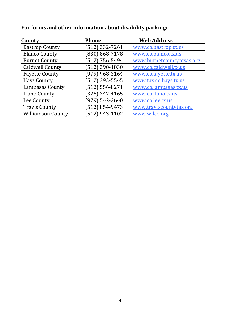#### For forms and other information about disability parking:

| County                   | <b>Phone</b>       | <b>Web Address</b>        |
|--------------------------|--------------------|---------------------------|
| <b>Bastrop County</b>    | $(512)$ 332-7261   | www.co.bastrop.tx.us      |
| <b>Blanco County</b>     | $(830) 868 - 7178$ | www.co.blanco.tx.us       |
| <b>Burnet County</b>     | $(512)$ 756-5494   | www.burnetcountytexas.org |
| <b>Caldwell County</b>   | 512) 398-1830      | www.co.caldwell.tx.us     |
| <b>Fayette County</b>    | $(979)$ 968-3164   | www.co.fayette.tx.us      |
| <b>Hays County</b>       | (512) 393-5545     | www.tax.co.hays.tx.us     |
| Lampasas County          | $(512) 556 - 8271$ | www.co.lampasas.tx.us     |
| Llano County             | $(325)$ 247-4165   | www.co.llano.tx.us        |
| Lee County               | $(979) 542 - 2640$ | www.co.lee.tx.us          |
| <b>Travis County</b>     | (512) 854-9473     | www.traviscountytax.org   |
| <b>Williamson County</b> | $(512)$ 943-1102   | www.wilco.org             |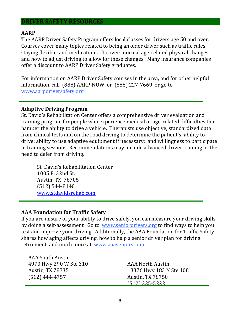#### **DRIVER!SAFETY!RESOURCES**

#### **AARP!!!!!!!!!!!!!!!!!!!!!!!!!!!!!!!!!!!!!!!!!!!!!**

The AARP Driver Safety Program offers local classes for drivers age 50 and over. Courses cover many topics related to being an older driver such as traffic rules, staying flexible, and medications. It covers normal age-related physical changes, and how to adjust driving to allow for these changes. Many insurance companies offer a discount to AARP Driver Safety graduates.

For information on AARP Driver Safety courses in the area, and for other helpful information, call  $(888)$  AARP-NOW or  $(888)$  227-7669 or go to www.aarpdriversafety.org

#### **Adaptive!Driving!Program**

St. David's Rehabilitation Center offers a comprehensive driver evaluation and training program for people who experience medical or age-related difficulties that hamper the ability to drive a vehicle. Therapists use objective, standardized data from clinical tests and on the road driving to determine the patient's: ability to drive; ability to use adaptive equipment if necessary; and willingness to participate in training sessions. Recommendations may include advanced driver training or the need to defer from driving.

St. David's Rehabilitation Center 1005 E. 32nd St. Austin, TX 78705  $(512) 544 - 8140$ www.stdavidsrehab.com

#### **AAA Foundation for Traffic Safety**

If you are unsure of your ability to drive safely, you can measure your driving skills by doing a self-assessment. Go to www.seniordrivers.org to find ways to help you test and improve your driving. Additionally, the AAA Foundation for Traffic Safety shares how aging affects driving, how to help a senior driver plan for driving retirement, and much more at www.aaaseniors.com

| AAA South Austin       |                         |  |
|------------------------|-------------------------|--|
| 4970 Hwy 290 W Ste 310 | <b>AAA North Austin</b> |  |
| Austin, TX 78735       | 13376 Hwy 183 N Ste 108 |  |
| (512) 444-4757         | Austin, TX 78750        |  |
|                        | $(512)$ 335-5222        |  |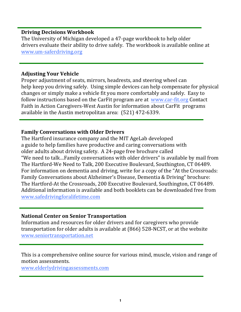#### **Driving!Decisions!Workbook**

The University of Michigan developed a 47-page workbook to help older drivers evaluate their ability to drive safely. The workbook is available online at www.um-saferdriving.org

#### **Adjusting Your Vehicle**

Proper adjustment of seats, mirrors, headrests, and steering wheel can help keep you driving safely. Using simple devices can help compensate for physical changes or simply make a vehicle fit you more comfortably and safely. Easy to follow instructions based on the CarFit program are at www.car-fit.org Contact Faith in Action Caregivers-West Austin for information about CarFit programs available in the Austin metropolitan area:  $(521)$  472-6339.

#### **Family Conversations with Older Drivers**

The Hartford insurance company and the MIT AgeLab developed a guide to help families have productive and caring conversations with older adults about driving safety. A 24-page free brochure called "We need to talk...Family conversations with older drivers" is available by mail from The Hartford-We Need to Talk, 200 Executive Boulevard, Southington, CT 06489. For information on dementia and driving, write for a copy of the "At the Crossroads: Family Conversations about Alzheimer's Disease, Dementia & Driving" brochure: The Hartford-At the Crossroads, 200 Executive Boulevard, Southington, CT 06489. Additional information is available and both booklets can be downloaded free from www.safedrivingforalifetime.com

#### **National Center on Senior Transportation**

Information and resources for older drivers and for caregivers who provide transportation for older adults is available at  $(866)$  528-NCST, or at the website www.seniortransportation.net

This is a comprehensive online source for various mind, muscle, vision and range of motion assessments.

www.elderlydrivingassessments.com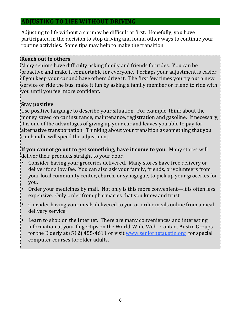#### **ADJUSTING!TO!LIFE!WITHOUT!DRIVING**

Adjusting to life without a car may be difficult at first. Hopefully, you have participated in the decision to stop driving and found other ways to continue your routine activities. Some tips may help to make the transition.

#### **Reach!out!to!others**

Many seniors have difficulty asking family and friends for rides. You can be proactive and make it comfortable for everyone. Perhaps your adjustment is easier if you keep your car and have others drive it. The first few times you try out a new service or ride the bus, make it fun by asking a family member or friend to ride with you until you feel more confident.

#### **Stay!positive**

Use positive language to describe your situation. For example, think about the money saved on car insurance, maintenance, registration and gasoline. If necessary, it is one of the advantages of giving up your car and leaves you able to pay for alternative transportation. Thinking about your transition as something that you can handle will speed the adjustment.

**If you cannot go out to get something, have it come to you. Many stores will** deliver their products straight to your door.

- Consider having your groceries delivered. Many stores have free delivery or deliver for a low fee. You can also ask your family, friends, or volunteers from your local community center, church, or synagogue, to pick up your groceries for you.
- Order your medicines by mail. Not only is this more convenient—it is often less expensive. Only order from pharmacies that you know and trust.
- Consider having your meals delivered to you or order meals online from a meal delivery service.
- Learn to shop on the Internet. There are many conveniences and interesting information at your fingertips on the World-Wide Web. Contact Austin Groups for the Elderly at  $(512)$  455-4611 or visit www.seniornetaustin.org for special computer courses for older adults.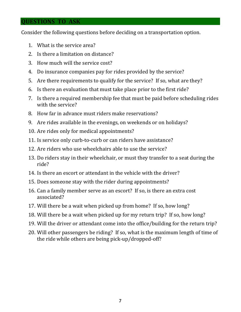#### **QUESTIONS TO ASK**

Consider the following questions before deciding on a transportation option.

- 1. What is the service area?
- 2. Is there a limitation on distance?
- 3. How much will the service cost?
- 4. Do insurance companies pay for rides provided by the service?
- 5. Are there requirements to qualify for the service? If so, what are they?
- 6. Is there an evaluation that must take place prior to the first ride?
- 7. Is there a required membership fee that must be paid before scheduling rides with the service?
- 8. How far in advance must riders make reservations?
- 9. Are rides available in the evenings, on weekends or on holidays?
- 10. Are rides only for medical appointments?
- 11. Is service only curb-to-curb or can riders have assistance?
- 12. Are riders who use wheelchairs able to use the service?
- 13. Do riders stay in their wheelchair, or must they transfer to a seat during the ride?
- 14. Is there an escort or attendant in the vehicle with the driver?
- 15. Does someone stay with the rider during appointments?
- 16. Can a family member serve as an escort? If so, is there an extra cost associated?
- 17. Will there be a wait when picked up from home? If so, how long?
- 18. Will there be a wait when picked up for my return trip? If so, how long?
- 19. Will the driver or attendant come into the office/building for the return trip?
- 20. Will other passengers be riding? If so, what is the maximum length of time of the ride while others are being pick-up/dropped-off?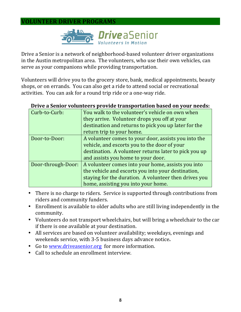#### **VOLUNTEER!DRIVER!PROGRAMS**



Drive a Senior is a network of neighborhood-based volunteer driver organizations in the Austin metropolitan area. The volunteers, who use their own vehicles, can serve as your companions while providing transportation.

Volunteers will drive you to the grocery store, bank, medical appointments, beauty shops, or on errands. You can also get a ride to attend social or recreational activities. You can ask for a round trip ride or a one-way ride.

| Curb-to-Curb:      | You walk to the volunteer's vehicle on own when       |
|--------------------|-------------------------------------------------------|
|                    | they arrive. Volunteer drops you off at your          |
|                    | destination and returns to pick you up later for the  |
|                    | return trip to your home.                             |
| Door-to-Door:      | A volunteer comes to your door, assists you into the  |
|                    | vehicle, and escorts you to the door of your          |
|                    | destination. A volunteer returns later to pick you up |
|                    | and assists you home to your door.                    |
| Door-through-Door: | A volunteer comes into your home, assists you into    |
|                    | the vehicle and escorts you into your destination,    |
|                    | staying for the duration. A volunteer then drives you |
|                    | home, assisting you into your home.                   |

#### **Drive a Senior volunteers provide transportation based on your needs:**

- There is no charge to riders. Service is supported through contributions from riders and community funders.
- Enrollment is available to older adults who are still living independently in the community.
- Volunteers do not transport wheelchairs, but will bring a wheelchair to the car if there is one available at your destination.
- All services are based on volunteer availability; weekdays, evenings and weekends service, with 3-5 business days advance notice.
- Go to www.driveasenior.org for more information.
- $\bullet$  Call to schedule an enrollment interview.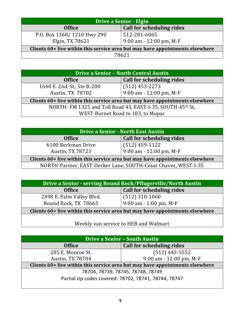| <b>Drive a Senior - Elgin</b>                                                 |                                           |  |
|-------------------------------------------------------------------------------|-------------------------------------------|--|
| <b>Office</b>                                                                 | <b>Call for scheduling rides</b>          |  |
| P.O. Box 1368/1210 Hwy 290<br>Elgin, TX 78621                                 | 512-281-6065<br>$9:00$ am - 12:00 pm, M-F |  |
| Clients 60+ live within this service area but may have appointments elsewhere |                                           |  |
| 78621                                                                         |                                           |  |

| Drive a Senior - North Central Austin                                         |                           |  |
|-------------------------------------------------------------------------------|---------------------------|--|
| <b>Office</b>                                                                 | Call for scheduling rides |  |
| 1640 E. 2nd. St., Ste B-200                                                   | $(512)$ 453-2273          |  |
| Austin, TX 78702                                                              | 9:00 am - 12:00 pm, M-F   |  |
| Clients 60+ live within this service area but may have appointments elsewhere |                           |  |
| NORTH-FM 1325 and Toll Road 45, EAST-I-35, SOUTH-45th St,                     |                           |  |
| WEST-Burnet Road to 183, to Mopac                                             |                           |  |

| <b>Drive a Senior - North East Austin</b>                                     |                                             |  |
|-------------------------------------------------------------------------------|---------------------------------------------|--|
| <b>Office</b>                                                                 | <b>Call for scheduling rides</b>            |  |
| 6100 Berkman Drive<br><b>Austin, TX 78723</b>                                 | $(512)$ 459-1122<br>9:00 am - 12:00 pm, M-F |  |
| Clients 60+ live within this service area but may have appointments elsewhere |                                             |  |
| NORTH-Parmer, EAST-Decker Lane, SOUTH-Cesar Chavez, WEST-I-35                 |                                             |  |

| Drive a Senior - serving Round Rock/Pflugerville/North Austin                 |                           |  |
|-------------------------------------------------------------------------------|---------------------------|--|
| <b>Office</b>                                                                 | Call for scheduling rides |  |
| 2498 E. Palm Valley Blvd.                                                     | $(512)$ 310-1060          |  |
| Round Rock, TX 78665                                                          | $9:00$ am - 1:00 pm, M-F  |  |
| Clients 60+ live within this service area but may have appointments elsewhere |                           |  |

Weekly van service to HEB and Walmart

| <b>Drive a Senior - South Austin</b>                                          |                                  |  |
|-------------------------------------------------------------------------------|----------------------------------|--|
| <b>Office</b>                                                                 | <b>Call for scheduling rides</b> |  |
| 205 E. Monroe St.                                                             | $(512)$ 445-5552                 |  |
| <b>Austin, TX 78704</b>                                                       | $9:00$ am - 12:00 pm, M-F        |  |
| Clients 60+ live within this service area but may have appointments elsewhere |                                  |  |
| 78704, 78739, 78745, 78748, 78749                                             |                                  |  |
| Partial zip codes covered: 78702, 78741, 78744, 78747                         |                                  |  |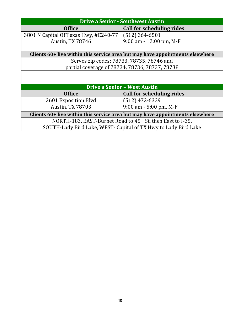| <b>Drive a Senior - Southwest Austin</b>                                      |                                  |  |
|-------------------------------------------------------------------------------|----------------------------------|--|
| <b>Office</b>                                                                 | <b>Call for scheduling rides</b> |  |
| 3801 N Capital Of Texas Hwy, #E240-77                                         | $(512)$ 364-6501                 |  |
| <b>Austin, TX 78746</b>                                                       | $9:00$ am - 12:00 pm, M-F        |  |
|                                                                               |                                  |  |
| Clients 60+ live within this service area but may have appointments elsewhere |                                  |  |
| Serves zip codes: 78733, 78735, 78746 and                                     |                                  |  |
| partial coverage of 78734, 78736, 78737, 78738                                |                                  |  |
|                                                                               |                                  |  |
|                                                                               |                                  |  |
| <b>Drive a Senior - West Austin</b>                                           |                                  |  |
| <b>Office</b>                                                                 | <b>Call for scheduling rides</b> |  |
| 2601 Exposition Blvd                                                          | $(512)$ 472-6339                 |  |
| <b>Austin, TX 78703</b>                                                       | $9:00$ am - 5:00 pm, M-F         |  |
| Clients 60+ live within this service area but may have appointments elsewhere |                                  |  |
| NORTH-183, EAST-Burnet Road to 45 <sup>th</sup> St, then East to I-35,        |                                  |  |
| SOUTH-Lady Bird Lake, WEST- Capital of TX Hwy to Lady Bird Lake               |                                  |  |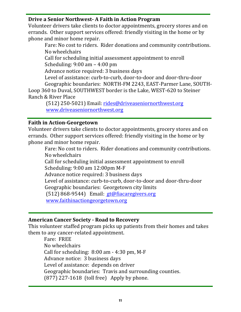#### **Drive a Senior Northwest- A Faith in Action Program**

Volunteer drivers take clients to doctor appointments, grocery stores and on errands. Other support services offered: friendly visiting in the home or by phone and minor home repair.

Fare: No cost to riders. Rider donations and community contributions. No wheelchairs

Call for scheduling initial assessment appointment to enroll Scheduling:  $9:00$  am –  $4:00$  pm

Advance notice required: 3 business days

Level of assistance: curb-to-curb, door-to-door and door-thru-door

Geographic boundaries: NORTH-FM 2243, EAST-Parmer Lane, SOUTH-Loop 360 to Duval, SOUTHWEST border is the Lake, WEST-620 to Steiner Ranch & River Place

(512) 250-5021) Email: rides@driveaseniornorthwest.org www.driveaseniornorthwest.org

#### **Faith in Action-Georgetown**

Volunteer drivers take clients to doctor appointments, grocery stores and on errands. Other support services offered: friendly visiting in the home or by phone and minor home repair.

Fare: No cost to riders. Rider donations and community contributions. No wheelchairs

Call for scheduling initial assessment appointment to enroll Scheduling: 9:00 am 12:00pm M-F

Advance notice required: 3 business days

Level of assistance: curb-to-curb, door-to-door and door-thru-door

Geographic boundaries: Georgetown city limits

 $(512)$  868-9544) Email: gt@fiacaregivers.org

%%%www.faithinactiongeorgetown.org

#### **American!Cancer!Society!\ Road!to!Recovery**

This volunteer staffed program picks up patients from their homes and takes them to any cancer-related appointment.

Fare: FREE No wheelchairs Call for scheduling:  $8:00$  am  $-4:30$  pm, M-F Advance notice: 3 business days Level of assistance: depends on driver Geographic boundaries: Travis and surrounding counties. (877) 227-1618 (toll free) Apply by phone.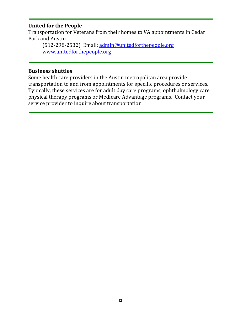#### **United for the People**

Transportation for Veterans from their homes to VA appointments in Cedar Park and Austin.

(512-298-2532) Email: admin@unitedforthepeople.org www.unitedforthepeople.org

#### **Business shuttles**

Some health care providers in the Austin metropolitan area provide transportation to and from appointments for specific procedures or services. Typically, these services are for adult day care programs, ophthalmology care physical therapy programs or Medicare Advantage programs. Contact your service provider to inquire about transportation.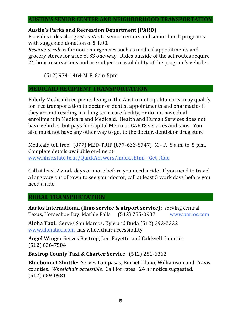#### **AUSTIN'S!SENIOR!CENTER!AND!NEIGHBORHOOD!TRANSPORTATION**

#### Austin's Parks and Recreation Department (PARD)

Provides rides along *set routes* to senior centers and senior lunch programs with suggested donation of  $$1.00$ .

*Reserve-a-ride* is for non-emergencies such as medical appointments and grocery stores for a fee of \$3 one-way. Rides outside of the set routes require 24-hour reservations and are subject to availability of the program's vehicles.

(512) 974-1464 M-F, 8am-5pm

#### **MEDICAID RECIPIENT TRANSPORTATION**

Elderly Medicaid recipients living in the Austin metropolitan area may qualify for free transportation to doctor or dentist appointments and pharmacies if they are not residing in a long term care facility, or do not have dual enrollment in Medicare and Medicaid. Health and Human Services does not have vehicles, but pays for Capital Metro or CARTS services and taxis. You also must not have any other way to get to the doctor, dentist or drug store.

Medicaid toll free: (877) MED-TRIP (877-633-8747) M - F, 8 a.m. to 5 p.m. Complete details available on-line at www.hhsc.state.tx.us/QuickAnswers/index.shtml - Get\_Ride

Call at least 2 work days or more before you need a ride. If you need to travel a long way out of town to see your doctor, call at least 5 work days before you need a ride.

#### **RURAL!TRANSPORTATION**

**Aarios International (limo service & airport service):** serving central Texas, Horseshoe Bay, Marble Falls (512) 755-0937 www.aarios.com

**Aloha Taxi:** Serves San Marcos, Kyle and Buda (512) 392-2222 www.alohataxi.com has wheelchair accessibility

Angel Wings: Serves Bastrop, Lee, Fayette, and Caldwell Counties (512) 636-7584

**Bastrop County Taxi & Charter Service** (512) 281-6362

**Bluebonnet Shuttle:** Serves Lampasas, Burnet, Llano, Williamson and Travis counties. Wheelchair accessible. Call for rates. 24 hr notice suggested. (512) 689-0981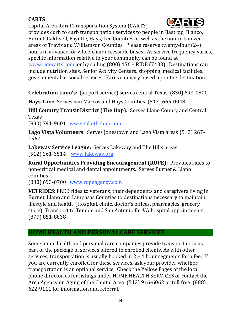#### **CARTS**

Capital Area Rural Transportation System (CARTS)



provides curb to curb transportation services to people in Bastrop, Blanco, Burnet, Caldwell, Fayette, Hays, Lee Counties as well as the non-urbanized areas of Travis and Williamson Counties. Please reserve twenty-four (24) hours in advance for wheelchair accessible buses. As service frequency varies, specific information relative to your community can be found at www.ridecarts.com or by calling  $(800)$  456 – RIDE  $(7433)$ . Destinations can include nutrition sites, Senior Activity Centers, shopping, medical facilities, governmental or social services. Fares can vary based upon the destination.

**Celebration Limo's:** (airport service) serves central Texas (830) 693-0800

Hays Taxi: Serves San Marcos and Hays Counties (512) 665-0048

**Hill Country Transit District (The Hop): Serves Llano County and Central \,** Texas

 $(800)$  791-9601 www.takethehop.com

**Lago Vista Volunteers:** Serves Jonestown and Lago Vista areas (512) 267-1567

**Lakeway Service League: Serves Lakeway and The Hills areas** (512) 261-3514 www.lakeway.org

**Rural Opportunities Providing Encouragement (ROPE):** Provides rides to non-critical medical and dental appointments. Serves Burnet & Llano counties.

 $(830)$  693-0700 www.ropeagency.com

**VETRIDES:** FREE rides to veterans, their dependents and caregivers living in Burnet, Llano and Lampasas Counties to destinations necessary to maintain lifestyle and health (Hospital, clinic, doctor's offices, pharmacies, grocery store). Transport to Temple and San Antonio for VA hospital appointments. (877) 851-8838

#### **HOME HEALTH AND PERSONAL CARE SERVICES**

Some home health and personal care companies provide transportation as part of the package of services offered to enrolled clients. As with other services, transportation is usually booked in  $2 - 4$  hour segments for a fee. If you are currently enrolled for these services, ask your provider whether transportation is an optional service. Check the Yellow Pages of the local phone directories for listings under HOME HEALTH SERVICES or contact the Area Agency on Aging of the Capital Area (512) 916-6062 or toll free (888)  $622-9111$  for information and referral.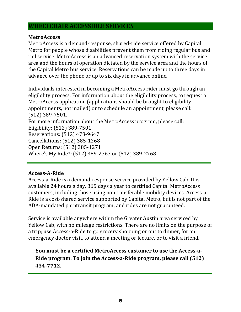#### **WHEELCHAIR ACCESSIBLE SERVICES**

#### **MetroAccess**

MetroAccess is a demand-response, shared-ride service offered by Capital Metro for people whose disabilities prevent them from riding regular bus and rail service. MetroAccess is an advanced reservation system with the service area and the hours of operation dictated by the service area and the hours of the Capital Metro bus service. Reservations can be made up to three days in advance over the phone or up to six days in advance online.

Individuals interested in becoming a MetroAccess rider must go through an eligibility process. For information about the eligibility process, to request a MetroAccess application (applications should be brought to eligibility appointments, not mailed) or to schedule an appointment, please call:  $(512)$  389-7501. For more information about the MetroAccess program, please call:

Eligibility: (512) 389-7501 Reservations: (512) 478-9647 Cancellations: (512) 385-1268 Open Returns: (512) 385-1271 Where's My Ride?: (512) 389-2767 or (512) 389-2768

#### Access-A-Ride

Access-a-Ride is a demand-response service provided by Yellow Cab. It is available 24 hours a day, 365 days a year to certified Capital MetroAccess customers, including those using nontransferable mobility devices. Access-a-Ride is a cost-shared service supported by Capital Metro, but is not part of the ADA-mandated paratransit program, and rides are not guaranteed.

Service is available anywhere within the Greater Austin area serviced by Yellow Cab, with no mileage restrictions. There are no limits on the purpose of a trip; use Access-a-Ride to go grocery shopping or out to dinner, for an emergency doctor visit, to attend a meeting or lecture, or to visit a friend.

**You!must!be!a!certified!MetroAccess!customer!to!use!the!Access\a\** Ride program. To join the Access-a-Ride program, please call (512) **434\7712**.%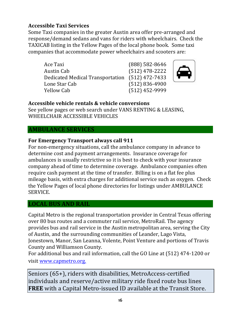#### **Accessible!Taxi!Services**

Some Taxi companies in the greater Austin area offer pre-arranged and response/demand sedans and vans for riders with wheelchairs. Check the TAXICAB listing in the Yellow Pages of the local phone book. Some taxi companies that accommodate power wheelchairs and scooters are:

Ace Taxi (888) 582-8646 Austin Cab (512) 478-2222 Dedicated Medical Transportation (512) 472-7433 Lone Star Cab (512) 836-4900 Yellow Cab (512) 452-9999





#### **Accessible!vehicle!rentals!&!vehicle!conversions**

See yellow pages or web search under VANS RENTING & LEASING, WHEELCHAIR ACCESSIBLE VEHICLES

#### **AMBULANCE SERVICES**

#### For Emergency Transport always call 911

For non-emergency situations, call the ambulance company in advance to determine cost and payment arrangements. Insurance coverage for ambulances is usually restrictive so it is best to check with your insurance company ahead of time to determine coverage. Ambulance companies often require cash payment at the time of transfer. Billing is on a flat fee plus mileage basis, with extra charges for additional service such as oxygen. Check the Yellow Pages of local phone directories for listings under AMBULANCE SERVICE.

#### **LOCAL!BUS!AND!RAIL**

Capital Metro is the regional transportation provider in Central Texas offering over 80 bus routes and a commuter rail service, MetroRail. The agency provides bus and rail service in the Austin metropolitan area, serving the City of Austin, and the surrounding communities of Leander, Lago Vista, Jonestown, Manor, San Leanna, Volente, Point Venture and portions of Travis County and Williamson County.

For additional bus and rail information, call the GO Line at (512) 474-1200 or visit www.capmetro.org.

Seniors (65+), riders with disabilities, MetroAccess-certified individuals and reserve/active military ride fixed route bus lines **FREE** with a Capital Metro-issued ID available at the Transit Store.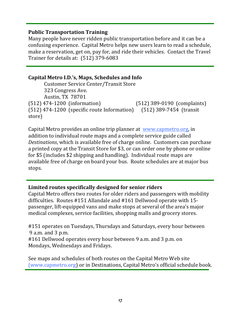#### **Public Transportation Training**

Many people have never ridden public transportation before and it can be a confusing experience. Capital Metro helps new users learn to read a schedule, make a reservation, get on, pay for, and ride their vehicles. Contact the Travel Trainer for details at:  $(512)$  379-6083

#### **Capital Metro I.D.'s, Maps, Schedules and Info**

Customer Service Center/Transit Store 323 Congress Ave. Austin, TX 78701 (512) 474-1200 (information) (512) 389-0190 (complaints) (512) 474-1200 (specific route Information) (512) 389-7454 (transit store)

Capital Metro provides an online trip planner at www.capmetro.org, in addition to individual route maps and a complete service guide called *Destinations*, which is available free of charge online. Customers can purchase a printed copy at the Transit Store for \$3, or can order one by phone or online for  $$5$  (includes  $$2$  shipping and handling). Individual route maps are available free of charge on board your bus. Route schedules are at major bus stops.

#### Limited routes specifically designed for senior riders

Capital Metro offers two routes for older riders and passengers with mobility difficulties. Routes #151 Allandale and #161 Dellwood operate with 15passenger, lift-equipped vans and make stops at several of the area's major medical complexes, service facilities, shopping malls and grocery stores.

#151 operates on Tuesdays, Thursdays and Saturdays, every hour between  $9$  a.m. and  $3$  p.m. #161 Dellwood operates every hour between 9 a.m. and 3 p.m. on Mondays, Wednesdays and Fridays.

See maps and schedules of both routes on the Capital Metro Web site (www.capmetro.org) or in Destinations, Capital Metro's official schedule book.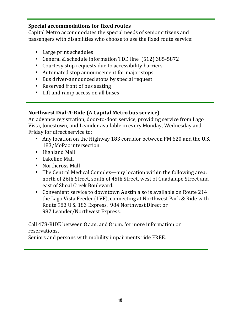#### **Special accommodations for fixed routes**

Capital Metro accommodates the special needs of senior citizens and passengers with disabilities who choose to use the fixed route service:

- $\bullet$  Large print schedules
- General & schedule information TDD line (512) 385-5872
- Courtesy stop requests due to accessibility barriers
- Automated stop announcement for major stops
- Bus driver-announced stops by special request
- Reserved front of bus seating
- Lift and ramp access on all buses

#### Northwest Dial-A-Ride (A Capital Metro bus service)

An advance registration, door-to-door service, providing service from Lago Vista, Jonestown, and Leander available in every Monday, Wednesday and Friday for direct service to:

- Any location on the Highway 183 corridor between FM 620 and the U.S. 183/MoPac intersection.
- $\bullet$  Highland Mall
- $\bullet$  Lakeline Mall
- Northcross Mall
- The Central Medical Complex—any location within the following area: north of 26th Street, south of 45th Street, west of Guadalupe Street and east of Shoal Creek Boulevard.
- Convenient service to downtown Austin also is available on Route 214 the Lago Vista Feeder (LVF), connecting at Northwest Park & Ride with Route 983 U.S. 183 Express, 984 Northwest Direct or 987 Leander/Northwest Express.

Call 478-RIDE between 8 a.m. and 8 p.m. for more information or reservations.

Seniors and persons with mobility impairments ride FREE.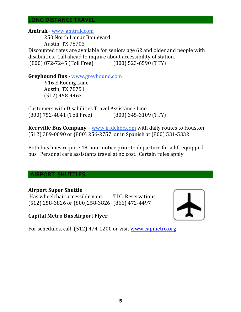#### **LONG"DISTANCE"TRAVEL**

#### **Amtrak** - www.amtrak.com

250 North Lamar Boulevard Austin,%TX 78703

Discounted rates are available for seniors age 62 and older and people with disabilities. Call ahead to inquire about accessibility of station. (800) 872-7245 (Toll Free) (800) 523-6590 (TTY)

**Greyhound Bus** - www.greyhound.com

916 E Koenig Lane Austin, TX 78751  $(512)$  458-4463

Customers with Disabilities Travel Assistance Line (800) 752-4841 (Toll Free) (800) 345-3109 (TTY)

**Kerrville Bus Company** – www.iridekbc.com with daily routes to Houston (512) 389-0090 or (800) 256-2757 or in Spanish at (800) 531-5332

Both bus lines require 48-hour notice prior to departure for a lift equipped bus. Personal care assistants travel at no cost. Certain rules apply.

#### **AIRPORT SHUTTLES**

#### **Airport Super Shuttle**

Has wheelchair accessible vans. TDD Reservations (512) 258-3826 or (800)258-3826 (866) 472-4497



#### **Capital Metro Bus Airport Flyer**

For schedules, call: (512) 474-1200 or visit www.capmetro.org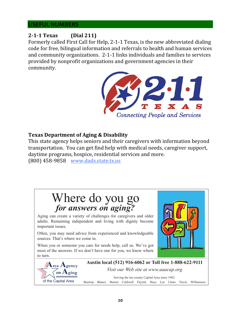#### **USEFUL"NUMBERS**

#### **2\1\1!Texas (Dial!211)**

Formerly called First Call for Help, 2-1-1 Texas, is the new abbreviated dialing code for free, bilingual information and referrals to health and human services and community organizations. 2-1-1 links individuals and families to services provided by nonprofit organizations and government agencies in their community.



#### **Texas Department of Aging & Disability**

This state agency helps seniors and their caregivers with information beyond transportation. You can get find help with medical needs, caregiver support, daytime programs, hospice, residential services and more.

(800) 458-9858 www.dads.state.tx.us

### Where do you go *for answers on aging?*

Aging can create a variety of challenges for caregivers and older adults. Remaining independent and living with dignity become important issues.

Often, you may need advice from experienced and knowledgeable sources. That's where we come in.

When you or someone you care for needs help, call us. We've got most of the answers. If we don't have one for you, we know where to turn.





**Austin local (512) 916-6062 or Toll free 1-888-622-9111**

*Visit our Web site at www.aaacap.org*

Serving the ten county Capital Area since 1982: Bastrop Blanco Burnet Caldwell Fayette Hays Lee Llano Travis Williamson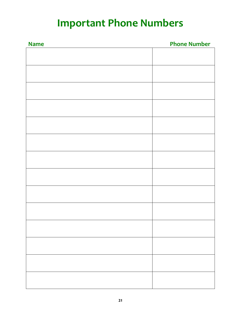## **Important Phone Numbers**

| <b>Name</b> | <b>Phone Number</b> |
|-------------|---------------------|
|             |                     |
|             |                     |
|             |                     |
|             |                     |
|             |                     |
|             |                     |
|             |                     |
|             |                     |
|             |                     |
|             |                     |
|             |                     |
|             |                     |
|             |                     |
|             |                     |
|             |                     |